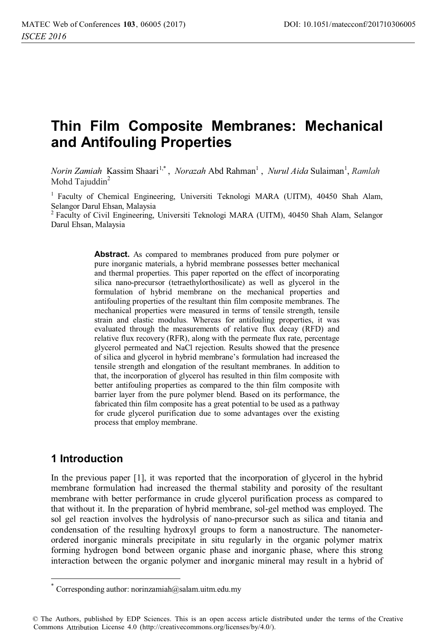# **Thin Film Composite Membranes: Mechanical and Antifouling Properties**

*Norin Zamiah* Kassim Shaari<sup>1,\*</sup>, *Norazah* Abd Rahman<sup>1</sup>, *Nurul Aida* Sulaiman<sup>1</sup>, *Ramlah* Mohd Tajuddin<sup>2</sup>

<sup>1</sup> Faculty of Chemical Engineering, Universiti Teknologi MARA (UITM), 40450 Shah Alam, Selangor Darul Ehsan, Malaysia

2 Faculty of Civil Engineering, Universiti Teknologi MARA (UITM), 40450 Shah Alam, Selangor Darul Ehsan, Malaysia

> **Abstract.** As compared to membranes produced from pure polymer or pure inorganic materials, a hybrid membrane possesses better mechanical and thermal properties. This paper reported on the effect of incorporating silica nano-precursor (tetraethylorthosilicate) as well as glycerol in the formulation of hybrid membrane on the mechanical properties and antifouling properties of the resultant thin film composite membranes. The mechanical properties were measured in terms of tensile strength, tensile strain and elastic modulus. Whereas for antifouling properties, it was evaluated through the measurements of relative flux decay (RFD) and relative flux recovery (RFR), along with the permeate flux rate, percentage glycerol permeated and NaCl rejection. Results showed that the presence of silica and glycerol in hybrid membrane's formulation had increased the tensile strength and elongation of the resultant membranes. In addition to that, the incorporation of glycerol has resulted in thin film composite with better antifouling properties as compared to the thin film composite with barrier layer from the pure polymer blend. Based on its performance, the fabricated thin film composite has a great potential to be used as a pathway for crude glycerol purification due to some advantages over the existing process that employ membrane.

# **1 Introduction**

 $\overline{a}$ 

In the previous paper [1], it was reported that the incorporation of glycerol in the hybrid membrane formulation had increased the thermal stability and porosity of the resultant membrane with better performance in crude glycerol purification process as compared to that without it. In the preparation of hybrid membrane, sol-gel method was employed. The sol gel reaction involves the hydrolysis of nano-precursor such as silica and titania and condensation of the resulting hydroxyl groups to form a nanostructure. The nanometerordered inorganic minerals precipitate in situ regularly in the organic polymer matrix forming hydrogen bond between organic phase and inorganic phase, where this strong interaction between the organic polymer and inorganic mineral may result in a hybrid of

Corresponding author: norinzamiah@salam.uitm.edu.my

<sup>©</sup> The Authors, published by EDP Sciences. This is an open access article distributed under the terms of the Creative Commons Attribution License 4.0 (http://creativecommons.org/licenses/by/4.0/).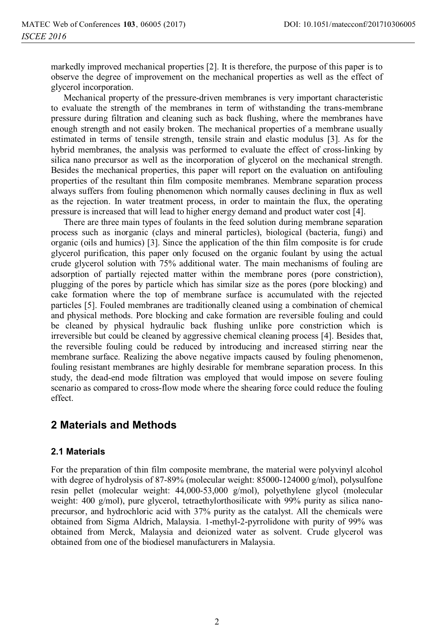markedly improved mechanical properties [2]. It is therefore, the purpose of this paper is to observe the degree of improvement on the mechanical properties as well as the effect of glycerol incorporation.

Mechanical property of the pressure-driven membranes is very important characteristic to evaluate the strength of the membranes in term of withstanding the trans-membrane pressure during filtration and cleaning such as back flushing, where the membranes have enough strength and not easily broken. The mechanical properties of a membrane usually estimated in terms of tensile strength, tensile strain and elastic modulus [3]. As for the hybrid membranes, the analysis was performed to evaluate the effect of cross-linking by silica nano precursor as well as the incorporation of glycerol on the mechanical strength. Besides the mechanical properties, this paper will report on the evaluation on antifouling properties of the resultant thin film composite membranes. Membrane separation process always suffers from fouling phenomenon which normally causes declining in flux as well as the rejection. In water treatment process, in order to maintain the flux, the operating pressure is increased that will lead to higher energy demand and product water cost [4].

There are three main types of foulants in the feed solution during membrane separation process such as inorganic (clays and mineral particles), biological (bacteria, fungi) and organic (oils and humics) [3]. Since the application of the thin film composite is for crude glycerol purification, this paper only focused on the organic foulant by using the actual crude glycerol solution with 75% additional water. The main mechanisms of fouling are adsorption of partially rejected matter within the membrane pores (pore constriction), plugging of the pores by particle which has similar size as the pores (pore blocking) and cake formation where the top of membrane surface is accumulated with the rejected particles [5]. Fouled membranes are traditionally cleaned using a combination of chemical and physical methods. Pore blocking and cake formation are reversible fouling and could be cleaned by physical hydraulic back flushing unlike pore constriction which is irreversible but could be cleaned by aggressive chemical cleaning process [4]. Besides that, the reversible fouling could be reduced by introducing and increased stirring near the membrane surface. Realizing the above negative impacts caused by fouling phenomenon, fouling resistant membranes are highly desirable for membrane separation process. In this study, the dead-end mode filtration was employed that would impose on severe fouling scenario as compared to cross-flow mode where the shearing force could reduce the fouling effect.

# **2 Materials and Methods**

## **2.1 Materials**

For the preparation of thin film composite membrane, the material were polyvinyl alcohol with degree of hydrolysis of 87-89% (molecular weight: 85000-124000 g/mol), polysulfone resin pellet (molecular weight: 44,000-53,000 g/mol), polyethylene glycol (molecular weight: 400 g/mol), pure glycerol, tetraethylorthosilicate with 99% purity as silica nanoprecursor, and hydrochloric acid with 37% purity as the catalyst. All the chemicals were obtained from Sigma Aldrich, Malaysia. 1-methyl-2-pyrrolidone with purity of 99% was obtained from Merck, Malaysia and deionized water as solvent. Crude glycerol was obtained from one of the biodiesel manufacturers in Malaysia.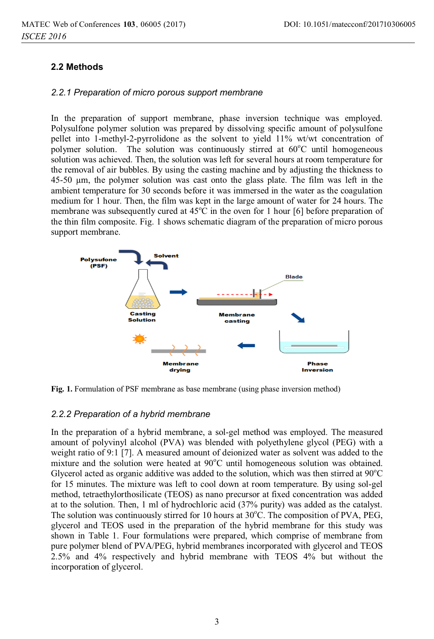## **2.2 Methods**

#### *2.2.1 Preparation of micro porous support membrane*

In the preparation of support membrane, phase inversion technique was employed. Polysulfone polymer solution was prepared by dissolving specific amount of polysulfone pellet into 1-methyl-2-pyrrolidone as the solvent to yield 11% wt/wt concentration of polymer solution. The solution was continuously stirred at 60°C until homogeneous solution was achieved. Then, the solution was left for several hours at room temperature for the removal of air bubbles. By using the casting machine and by adjusting the thickness to 45-50 μm, the polymer solution was cast onto the glass plate. The film was left in the ambient temperature for 30 seconds before it was immersed in the water as the coagulation medium for 1 hour. Then, the film was kept in the large amount of water for 24 hours. The membrane was subsequently cured at  $45^{\circ}$ C in the oven for 1 hour [6] before preparation of the thin film composite. Fig. 1 shows schematic diagram of the preparation of micro porous support membrane.



**Fig. 1.** Formulation of PSF membrane as base membrane (using phase inversion method)

#### *2.2.2 Preparation of a hybrid membrane*

In the preparation of a hybrid membrane, a sol-gel method was employed. The measured amount of polyvinyl alcohol (PVA) was blended with polyethylene glycol (PEG) with a weight ratio of 9:1 [7]. A measured amount of deionized water as solvent was added to the mixture and the solution were heated at 90°C until homogeneous solution was obtained. Glycerol acted as organic additive was added to the solution, which was then stirred at  $90^{\circ}$ C for 15 minutes. The mixture was left to cool down at room temperature. By using sol-gel method, tetraethylorthosilicate (TEOS) as nano precursor at fixed concentration was added at to the solution. Then, 1 ml of hydrochloric acid (37% purity) was added as the catalyst. The solution was continuously stirred for 10 hours at 30°C. The composition of PVA, PEG, glycerol and TEOS used in the preparation of the hybrid membrane for this study was shown in Table 1. Four formulations were prepared, which comprise of membrane from pure polymer blend of PVA/PEG, hybrid membranes incorporated with glycerol and TEOS 2.5% and 4% respectively and hybrid membrane with TEOS 4% but without the incorporation of glycerol.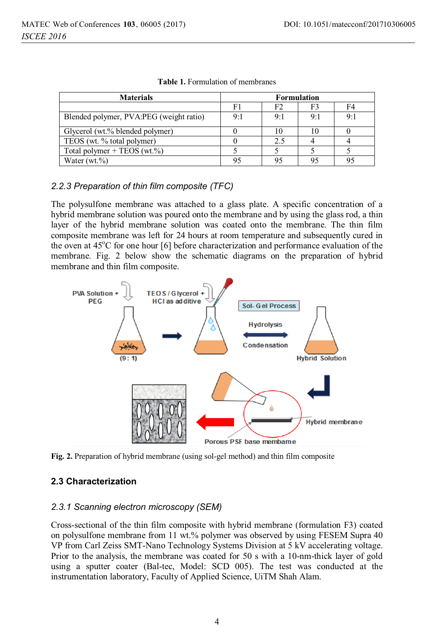| <b>Materials</b>                        | <b>Formulation</b> |                |     |     |
|-----------------------------------------|--------------------|----------------|-----|-----|
|                                         | F1                 | F <sub>2</sub> | F3  | F4  |
| Blended polymer, PVA:PEG (weight ratio) | 9:1                | 9:1            | 9:1 | 9:1 |
| Glycerol (wt.% blended polymer)         |                    | 10             | 10  |     |
| TEOS (wt. % total polymer)              |                    | 2.5            |     |     |
| Total polymer + TEOS (wt. $\%$ )        |                    |                |     |     |
| Water $(wt, \frac{9}{0})$               | 95                 | 95             | 95  |     |

**Table 1.** Formulation of membranes

## *2.2.3 Preparation of thin film composite (TFC)*

The polysulfone membrane was attached to a glass plate. A specific concentration of a hybrid membrane solution was poured onto the membrane and by using the glass rod, a thin layer of the hybrid membrane solution was coated onto the membrane. The thin film composite membrane was left for 24 hours at room temperature and subsequently cured in the oven at 45°C for one hour [6] before characterization and performance evaluation of the membrane. Fig. 2 below show the schematic diagrams on the preparation of hybrid membrane and thin film composite.



**Fig. 2.** Preparation of hybrid membrane (using sol-gel method) and thin film composite

## **2.3 Characterization**

## *2.3.1 Scanning electron microscopy (SEM)*

Cross-sectional of the thin film composite with hybrid membrane (formulation F3) coated on polysulfone membrane from 11 wt.% polymer was observed by using FESEM Supra 40 VP from Carl Zeiss SMT-Nano Technology Systems Division at 5 kV accelerating voltage. Prior to the analysis, the membrane was coated for 50 s with a 10-nm-thick layer of gold using a sputter coater (Bal-tec, Model: SCD 005). The test was conducted at the instrumentation laboratory, Faculty of Applied Science, UiTM Shah Alam.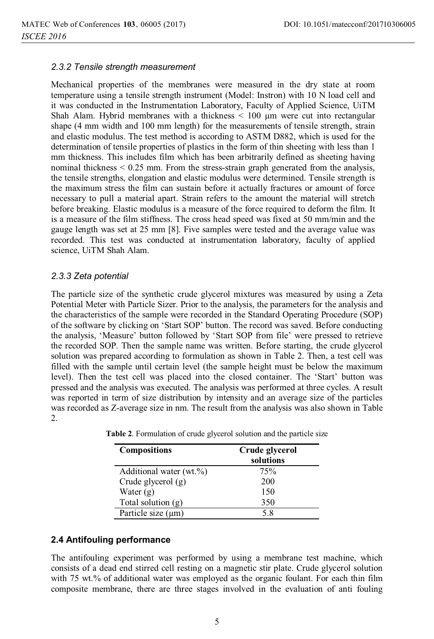#### *2.3.2 Tensile strength measurement*

Mechanical properties of the membranes were measured in the dry state at room temperature using a tensile strength instrument (Model: Instron) with 10 N load cell and it was conducted in the Instrumentation Laboratory, Faculty of Applied Science, UiTM Shah Alam. Hybrid membranes with a thickness < 100 μm were cut into rectangular shape (4 mm width and 100 mm length) for the measurements of tensile strength, strain and elastic modulus. The test method is according to ASTM D882, which is used for the determination of tensile properties of plastics in the form of thin sheeting with less than 1 mm thickness. This includes film which has been arbitrarily defined as sheeting having nominal thickness < 0.25 mm. From the stress-strain graph generated from the analysis, the tensile strengths, elongation and elastic modulus were determined. Tensile strength is the maximum stress the film can sustain before it actually fractures or amount of force necessary to pull a material apart. Strain refers to the amount the material will stretch before breaking. Elastic modulus is a measure of the force required to deform the film. It is a measure of the film stiffness. The cross head speed was fixed at 50 mm/min and the gauge length was set at 25 mm [8]. Five samples were tested and the average value was recorded. This test was conducted at instrumentation laboratory, faculty of applied science, UiTM Shah Alam.

#### *2.3.3 Zeta potential*

The particle size of the synthetic crude glycerol mixtures was measured by using a Zeta Potential Meter with Particle Sizer. Prior to the analysis, the parameters for the analysis and the characteristics of the sample were recorded in the Standard Operating Procedure (SOP) of the software by clicking on 'Start SOP' button. The record was saved. Before conducting the analysis, 'Measure' button followed by 'Start SOP from file' were pressed to retrieve the recorded SOP. Then the sample name was written. Before starting, the crude glycerol solution was prepared according to formulation as shown in Table 2. Then, a test cell was filled with the sample until certain level (the sample height must be below the maximum level). Then the test cell was placed into the closed container. The 'Start' button was pressed and the analysis was executed. The analysis was performed at three cycles. A result was reported in term of size distribution by intensity and an average size of the particles was recorded as Z-average size in nm. The result from the analysis was also shown in Table 2.

| <b>Compositions</b>     | Crude glycerol<br>solutions |
|-------------------------|-----------------------------|
| Additional water (wt.%) | 75%                         |
| Crude glycerol (g)      | 200                         |
| Water $(g)$             | 150                         |
| Total solution $(g)$    | 350                         |
| Particle size $(\mu m)$ | 5.8                         |

**Table 2**. Formulation of crude glycerol solution and the particle size

## **2.4 Antifouling performance**

The antifouling experiment was performed by using a membrane test machine, which consists of a dead end stirred cell resting on a magnetic stir plate. Crude glycerol solution with 75 wt.% of additional water was employed as the organic foulant. For each thin film composite membrane, there are three stages involved in the evaluation of anti fouling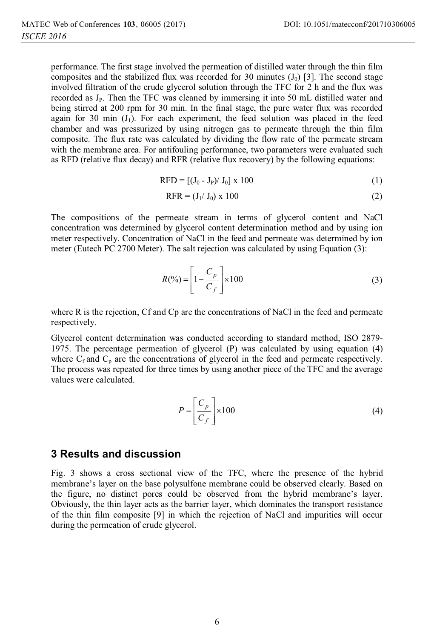performance. The first stage involved the permeation of distilled water through the thin film composites and the stabilized flux was recorded for 30 minutes  $(J_0)$  [3]. The second stage involved filtration of the crude glycerol solution through the TFC for 2 h and the flux was recorded as J<sub>P</sub>. Then the TFC was cleaned by immersing it into 50 mL distilled water and being stirred at 200 rpm for 30 min. In the final stage, the pure water flux was recorded again for 30 min  $(J_1)$ . For each experiment, the feed solution was placed in the feed chamber and was pressurized by using nitrogen gas to permeate through the thin film composite. The flux rate was calculated by dividing the flow rate of the permeate stream with the membrane area. For antifouling performance, two parameters were evaluated such as RFD (relative flux decay) and RFR (relative flux recovery) by the following equations:

$$
RFD = [(J_0 - J_P) / J_0] \times 100
$$
 (1)

$$
RFR = (J_1 / J_0) \times 100 \tag{2}
$$

The compositions of the permeate stream in terms of glycerol content and NaCl concentration was determined by glycerol content determination method and by using ion meter respectively. Concentration of NaCl in the feed and permeate was determined by ion meter (Eutech PC 2700 Meter). The salt rejection was calculated by using Equation (3):

$$
R(\%) = \left[1 - \frac{C_p}{C_f}\right] \times 100\tag{3}
$$

where R is the rejection, Cf and Cp are the concentrations of NaCl in the feed and permeate respectively.

Glycerol content determination was conducted according to standard method, ISO 2879- 1975. The percentage permeation of glycerol (P) was calculated by using equation (4) where  $C_f$  and  $C_p$  are the concentrations of glycerol in the feed and permeate respectively. The process was repeated for three times by using another piece of the TFC and the average values were calculated.

$$
P = \left[\frac{C_p}{C_f}\right] \times 100\tag{4}
$$

#### **3 Results and discussion**

Fig. 3 shows a cross sectional view of the TFC, where the presence of the hybrid membrane's layer on the base polysulfone membrane could be observed clearly. Based on the figure, no distinct pores could be observed from the hybrid membrane's layer. Obviously, the thin layer acts as the barrier layer, which dominates the transport resistance of the thin film composite [9] in which the rejection of NaCl and impurities will occur during the permeation of crude glycerol.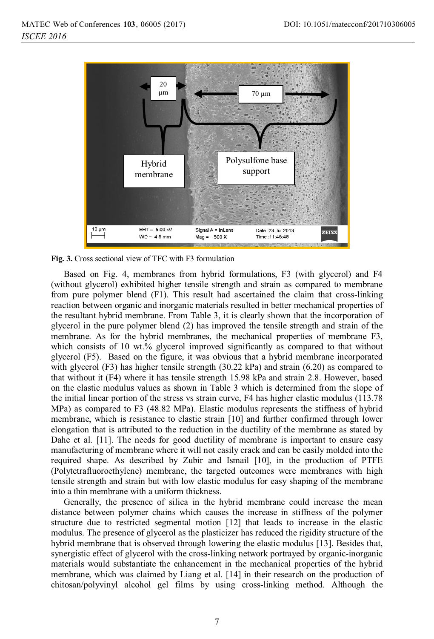

**Fig. 3.** Cross sectional view of TFC with F3 formulation

Based on Fig. 4, membranes from hybrid formulations, F3 (with glycerol) and F4 (without glycerol) exhibited higher tensile strength and strain as compared to membrane from pure polymer blend (F1). This result had ascertained the claim that cross-linking reaction between organic and inorganic materials resulted in better mechanical properties of the resultant hybrid membrane. From Table 3, it is clearly shown that the incorporation of glycerol in the pure polymer blend (2) has improved the tensile strength and strain of the membrane. As for the hybrid membranes, the mechanical properties of membrane F3, which consists of 10 wt.% glycerol improved significantly as compared to that without glycerol (F5). Based on the figure, it was obvious that a hybrid membrane incorporated with glycerol (F3) has higher tensile strength (30.22 kPa) and strain (6.20) as compared to that without it (F4) where it has tensile strength 15.98 kPa and strain 2.8. However, based on the elastic modulus values as shown in Table 3 which is determined from the slope of the initial linear portion of the stress vs strain curve, F4 has higher elastic modulus (113.78 MPa) as compared to F3 (48.82 MPa). Elastic modulus represents the stiffness of hybrid membrane, which is resistance to elastic strain [10] and further confirmed through lower elongation that is attributed to the reduction in the ductility of the membrane as stated by Dahe et al. [11]. The needs for good ductility of membrane is important to ensure easy manufacturing of membrane where it will not easily crack and can be easily molded into the required shape. As described by Zubir and Ismail [10], in the production of PTFE (Polytetrafluoroethylene) membrane, the targeted outcomes were membranes with high tensile strength and strain but with low elastic modulus for easy shaping of the membrane into a thin membrane with a uniform thickness.

Generally, the presence of silica in the hybrid membrane could increase the mean distance between polymer chains which causes the increase in stiffness of the polymer structure due to restricted segmental motion [12] that leads to increase in the elastic modulus. The presence of glycerol as the plasticizer has reduced the rigidity structure of the hybrid membrane that is observed through lowering the elastic modulus [13]. Besides that, synergistic effect of glycerol with the cross-linking network portrayed by organic-inorganic materials would substantiate the enhancement in the mechanical properties of the hybrid membrane, which was claimed by Liang et al. [14] in their research on the production of chitosan/polyvinyl alcohol gel films by using cross-linking method. Although the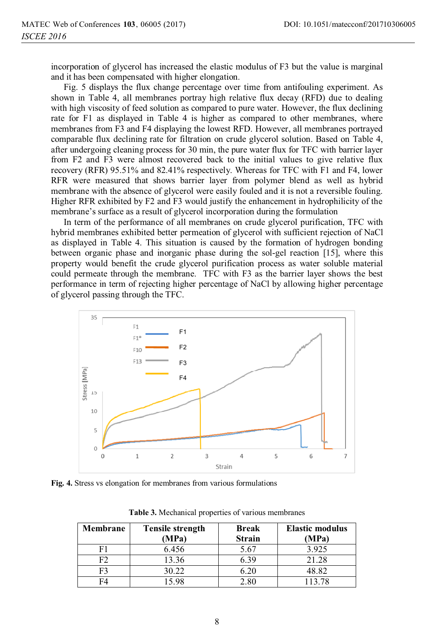incorporation of glycerol has increased the elastic modulus of F3 but the value is marginal and it has been compensated with higher elongation.

Fig. 5 displays the flux change percentage over time from antifouling experiment. As shown in Table 4, all membranes portray high relative flux decay (RFD) due to dealing with high viscosity of feed solution as compared to pure water. However, the flux declining rate for F1 as displayed in Table 4 is higher as compared to other membranes, where membranes from F3 and F4 displaying the lowest RFD. However, all membranes portrayed comparable flux declining rate for filtration on crude glycerol solution. Based on Table 4, after undergoing cleaning process for 30 min, the pure water flux for TFC with barrier layer from F2 and F3 were almost recovered back to the initial values to give relative flux recovery (RFR) 95.51% and 82.41% respectively. Whereas for TFC with F1 and F4, lower RFR were measured that shows barrier layer from polymer blend as well as hybrid membrane with the absence of glycerol were easily fouled and it is not a reversible fouling. Higher RFR exhibited by F2 and F3 would justify the enhancement in hydrophilicity of the membrane's surface as a result of glycerol incorporation during the formulation

In term of the performance of all membranes on crude glycerol purification, TFC with hybrid membranes exhibited better permeation of glycerol with sufficient rejection of NaCl as displayed in Table 4. This situation is caused by the formation of hydrogen bonding between organic phase and inorganic phase during the sol-gel reaction [15], where this property would benefit the crude glycerol purification process as water soluble material could permeate through the membrane. TFC with F3 as the barrier layer shows the best performance in term of rejecting higher percentage of NaCl by allowing higher percentage of glycerol passing through the TFC.



**Fig. 4.** Stress vs elongation for membranes from various formulations

| Membrane | <b>Tensile strength</b><br>(MPa) | <b>Break</b><br><b>Strain</b> | <b>Elastic modulus</b><br>(MPa) |
|----------|----------------------------------|-------------------------------|---------------------------------|
| E.       | 6.456                            | 5.67                          | 3.925                           |
| FС       | 13.36                            | 6.39                          | 21.28                           |
| F٩       | 30.22                            | 6.20                          | 48.82                           |
|          | 15 98                            | 2.80                          | 113.78                          |

**Table 3.** Mechanical properties of various membranes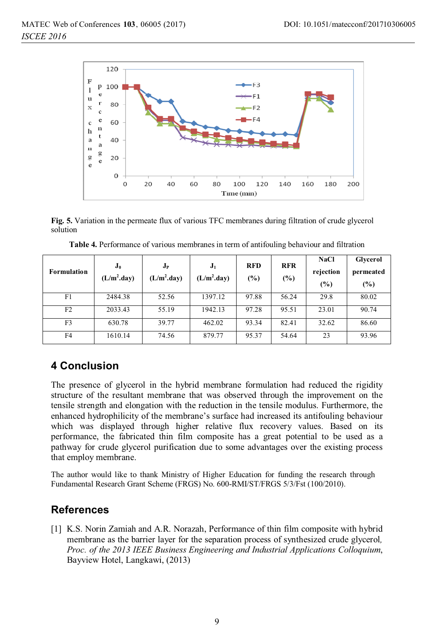

**Fig. 5.** Variation in the permeate flux of various TFC membranes during filtration of crude glycerol solution

| Formulation | $J_0$<br>(L/m <sup>2</sup> .day) | $J_{P}$<br>(L/m <sup>2</sup> .day) | $J_1$<br>(L/m <sup>2</sup> .day) | <b>RFD</b><br>(%) | <b>RFR</b><br>(%) | <b>NaCl</b><br>rejection<br>(%) | Glycerol<br>permeated<br>$(\%)$ |
|-------------|----------------------------------|------------------------------------|----------------------------------|-------------------|-------------------|---------------------------------|---------------------------------|
| F1          | 2484.38                          | 52.56                              | 1397.12                          | 97.88             | 56.24             | 29.8                            | 80.02                           |
| F2          | 2033.43                          | 55.19                              | 1942.13                          | 97.28             | 95.51             | 23.01                           | 90.74                           |
| F3          | 630.78                           | 39.77                              | 462.02                           | 93.34             | 82.41             | 32.62                           | 86.60                           |
| F4          | 1610.14                          | 74.56                              | 879.77                           | 95.37             | 54.64             | 23                              | 93.96                           |

**Table 4.** Performance of various membranes in term of antifouling behaviour and filtration

# **4 Conclusion**

The presence of glycerol in the hybrid membrane formulation had reduced the rigidity structure of the resultant membrane that was observed through the improvement on the tensile strength and elongation with the reduction in the tensile modulus. Furthermore, the enhanced hydrophilicity of the membrane's surface had increased its antifouling behaviour which was displayed through higher relative flux recovery values. Based on its performance, the fabricated thin film composite has a great potential to be used as a pathway for crude glycerol purification due to some advantages over the existing process that employ membrane.

The author would like to thank Ministry of Higher Education for funding the research through Fundamental Research Grant Scheme (FRGS) No. 600-RMI/ST/FRGS 5/3/Fst (100/2010).

# **References**

[1] K.S. Norin Zamiah and A.R. Norazah, Performance of thin film composite with hybrid membrane as the barrier layer for the separation process of synthesized crude glycerol*, Proc. of the 2013 IEEE Business Engineering and Industrial Applications Colloquium*, Bayview Hotel, Langkawi, (2013)